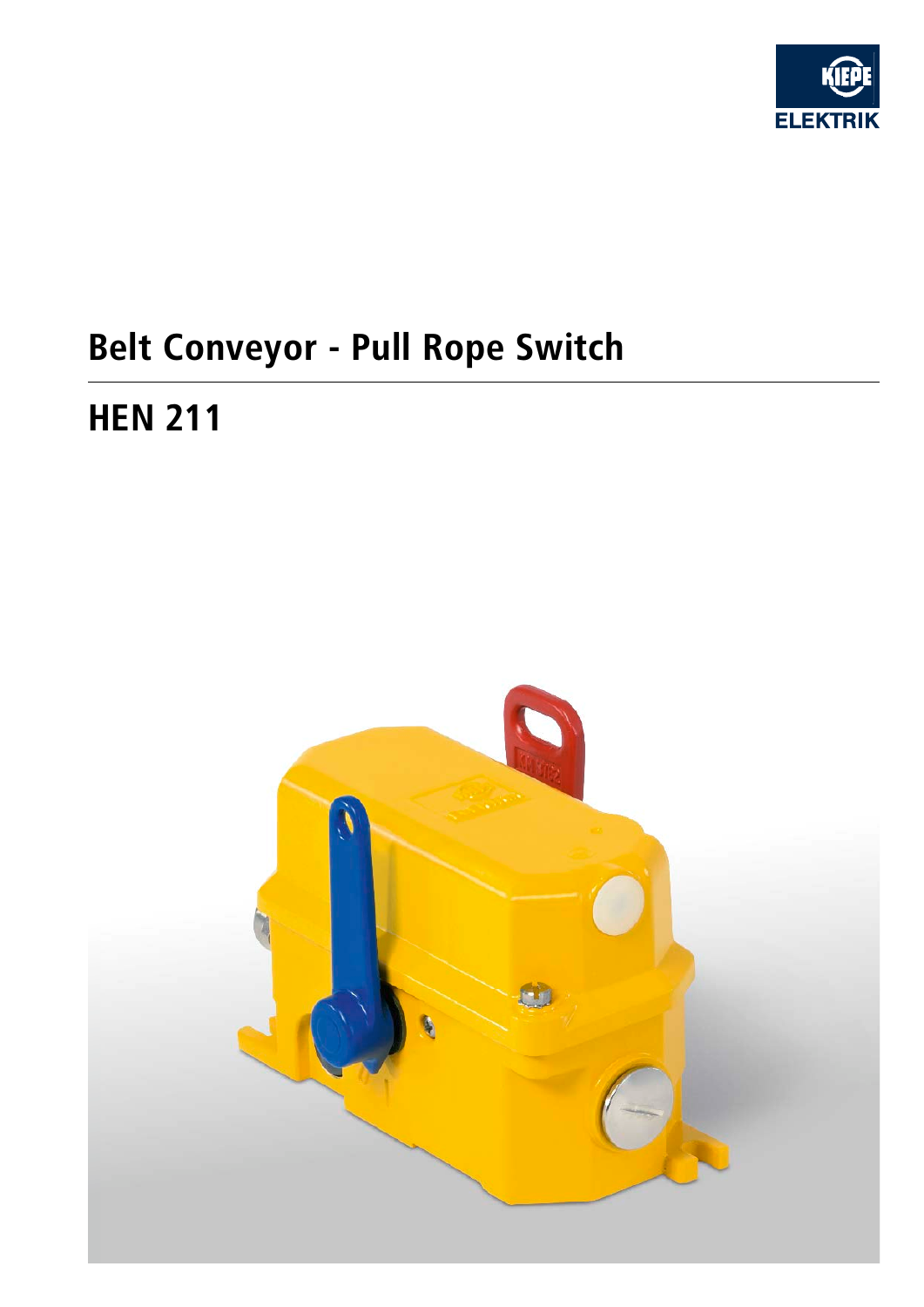

# **Belt Conveyor - Pull Rope Switch**

## **HEN 211**

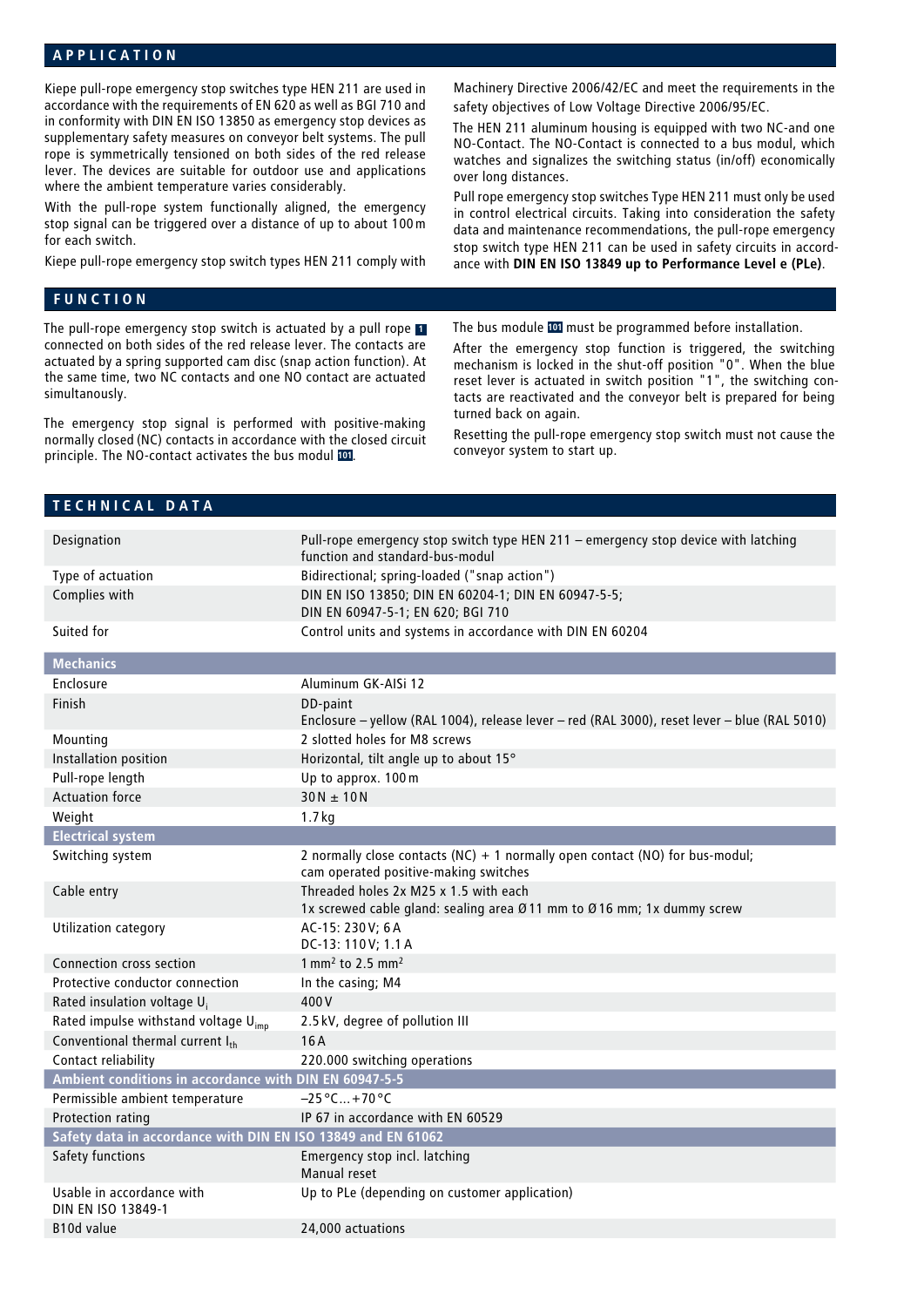#### **APPLICATION**

Kiepe pull-rope emergency stop switches type HEN 211 are used in accordance with the requirements of EN 620 as well as BGI 710 and in conformity with DIN EN ISO 13850 as emergency stop devices as supplementary safety measures on conveyor belt systems. The pull rope is symmetrically tensioned on both sides of the red release lever. The devices are suitable for outdoor use and applications where the ambient temperature varies considerably.

With the pull-rope system functionally aligned, the emergency stop signal can be triggered over a distance of up to about 100m for each switch.

Kiepe pull-rope emergency stop switch types HEN 211 comply with

#### **FUNCTION**

The pull-rope emergency stop switch is actuated by a pull rope **<sup>1</sup>** connected on both sides of the red release lever. The contacts are actuated by a spring supported cam disc (snap action function). At the same time, two NC contacts and one NO contact are actuated simultanously.

The emergency stop signal is performed with positive-making normally closed (NC) contacts in accordance with the closed circuit principle. The NO-contact activates the bus modul **101**.

Machinery Directive 2006/42/EC and meet the requirements in the safety objectives of Low Voltage Directive 2006/95/EC.

The HEN 211 aluminum housing is equipped with two NC-and one NO-Contact. The NO-Contact is connected to a bus modul, which watches and signalizes the switching status (in/off) economically over long distances.

Pull rope emergency stop switches Type HEN 211 must only be used in control electrical circuits. Taking into consideration the safety data and maintenance recommendations, the pull-rope emergency stop switch type HEN 211 can be used in safety circuits in accordance with **DIN EN ISO 13849 up to Performance Level e (PLe)**.

The bus module **101** must be programmed before installation.

After the emergency stop function is triggered, the switching mechanism is locked in the shut-off position "0". When the blue reset lever is actuated in switch position "1", the switching contacts are reactivated and the conveyor belt is prepared for being turned back on again.

Resetting the pull-rope emergency stop switch must not cause the conveyor system to start up.

|  |  | TECHNICAL DATA |  |  |
|--|--|----------------|--|--|
|  |  |                |  |  |

| Designation                                                  | Pull-rope emergency stop switch type HEN 211 - emergency stop device with latching<br>function and standard-bus-modul         |  |  |  |  |  |  |
|--------------------------------------------------------------|-------------------------------------------------------------------------------------------------------------------------------|--|--|--|--|--|--|
| Type of actuation                                            | Bidirectional; spring-loaded ("snap action")                                                                                  |  |  |  |  |  |  |
| Complies with                                                | DIN EN ISO 13850; DIN EN 60204-1; DIN EN 60947-5-5;<br>DIN EN 60947-5-1; EN 620; BGI 710                                      |  |  |  |  |  |  |
| Suited for                                                   | Control units and systems in accordance with DIN EN 60204                                                                     |  |  |  |  |  |  |
| <b>Mechanics</b>                                             |                                                                                                                               |  |  |  |  |  |  |
| Enclosure                                                    | Aluminum GK-AISi 12                                                                                                           |  |  |  |  |  |  |
| Finish                                                       | DD-paint                                                                                                                      |  |  |  |  |  |  |
|                                                              | Enclosure - yellow (RAL 1004), release lever - red (RAL 3000), reset lever - blue (RAL 5010)                                  |  |  |  |  |  |  |
| Mounting                                                     | 2 slotted holes for M8 screws                                                                                                 |  |  |  |  |  |  |
| Installation position                                        | Horizontal, tilt angle up to about 15°                                                                                        |  |  |  |  |  |  |
| Pull-rope length                                             | Up to approx. 100 m                                                                                                           |  |  |  |  |  |  |
| <b>Actuation force</b>                                       | $30N \pm 10N$                                                                                                                 |  |  |  |  |  |  |
| Weight                                                       | 1.7 <sub>kq</sub>                                                                                                             |  |  |  |  |  |  |
| <b>Electrical system</b>                                     |                                                                                                                               |  |  |  |  |  |  |
| Switching system                                             | 2 normally close contacts ( $NC$ ) + 1 normally open contact ( $NO$ ) for bus-modul;<br>cam operated positive-making switches |  |  |  |  |  |  |
| Cable entry                                                  | Threaded holes 2x M25 x 1.5 with each<br>1x screwed cable gland: sealing area Ø11 mm to Ø16 mm; 1x dummy screw                |  |  |  |  |  |  |
| <b>Utilization category</b>                                  | AC-15: 230V; 6A<br>DC-13: 110V; 1.1 A                                                                                         |  |  |  |  |  |  |
| Connection cross section                                     | $1 \text{ mm}^2$ to 2.5 mm <sup>2</sup>                                                                                       |  |  |  |  |  |  |
| Protective conductor connection                              | In the casing; M4                                                                                                             |  |  |  |  |  |  |
| Rated insulation voltage U <sub>i</sub>                      | 400V                                                                                                                          |  |  |  |  |  |  |
| Rated impulse withstand voltage U <sub>imp</sub>             | 2.5 kV, degree of pollution III                                                                                               |  |  |  |  |  |  |
| Conventional thermal current Ith                             | 16A                                                                                                                           |  |  |  |  |  |  |
| Contact reliability                                          | 220.000 switching operations                                                                                                  |  |  |  |  |  |  |
| Ambient conditions in accordance with DIN EN 60947-5-5       |                                                                                                                               |  |  |  |  |  |  |
| Permissible ambient temperature                              | $-25^{\circ}$ C $+70^{\circ}$ C                                                                                               |  |  |  |  |  |  |
| Protection rating                                            | IP 67 in accordance with EN 60529                                                                                             |  |  |  |  |  |  |
| Safety data in accordance with DIN EN ISO 13849 and EN 61062 |                                                                                                                               |  |  |  |  |  |  |
| Safety functions                                             | Emergency stop incl. latching<br>Manual reset                                                                                 |  |  |  |  |  |  |
| Usable in accordance with<br>DIN EN ISO 13849-1              | Up to PLe (depending on customer application)                                                                                 |  |  |  |  |  |  |
| B <sub>10</sub> d value                                      | 24,000 actuations                                                                                                             |  |  |  |  |  |  |
|                                                              |                                                                                                                               |  |  |  |  |  |  |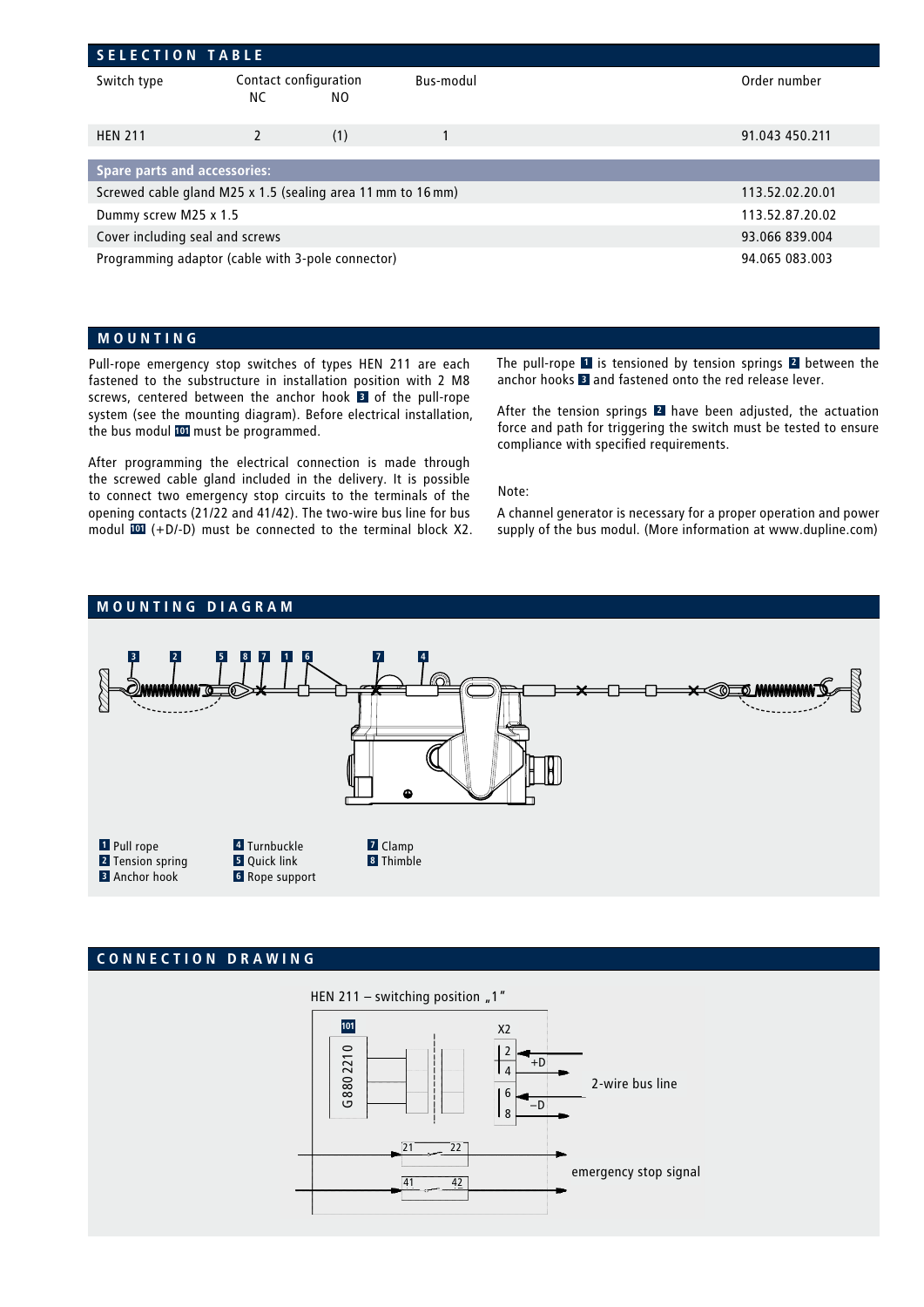| <b>SELECTION TABLE</b>                                              |                             |                |           |                 |  |  |  |  |
|---------------------------------------------------------------------|-----------------------------|----------------|-----------|-----------------|--|--|--|--|
| Switch type                                                         | Contact configuration<br>NС | NO.            | Bus-modul | Order number    |  |  |  |  |
| <b>HEN 211</b>                                                      | $\mathcal{P}$               | (1)            |           | 91.043 450.211  |  |  |  |  |
|                                                                     |                             |                |           |                 |  |  |  |  |
| <b>Spare parts and accessories:</b>                                 |                             |                |           |                 |  |  |  |  |
| Screwed cable gland M25 x 1.5 (sealing area 11 mm to 16 mm)         |                             |                |           | 113.52.02.20.01 |  |  |  |  |
| Dummy screw M25 x 1.5                                               | 113.52.87.20.02             |                |           |                 |  |  |  |  |
| Cover including seal and screws                                     |                             | 93.066 839.004 |           |                 |  |  |  |  |
| Programming adaptor (cable with 3-pole connector)<br>94.065 083.003 |                             |                |           |                 |  |  |  |  |

#### **MOUNTING**

Pull-rope emergency stop switches of types HEN 211 are each fastened to the substructure in installation position with 2 M8 screws, centered between the anchor hook **3** of the pull-rope system (see the mounting diagram). Before electrical installation, the bus modul **101** must be programmed.

After programming the electrical connection is made through the screwed cable gland included in the delivery. It is possible to connect two emergency stop circuits to the terminals of the opening contacts (21/22 and 41/42). The two-wire bus line for bus modul **101** (+D/-D) must be connected to the terminal block X2. The pull-rope **1** is tensioned by tension springs **2** between the anchor hooks **3** and fastened onto the red release lever.

After the tension springs **2** have been adjusted, the actuation force and path for triggering the switch must be tested to ensure compliance with specified requirements.

#### Note:

A channel generator is necessary for a proper operation and power supply of the bus modul. (More information at www.dupline.com)



### **CONNECTION DRAWING**